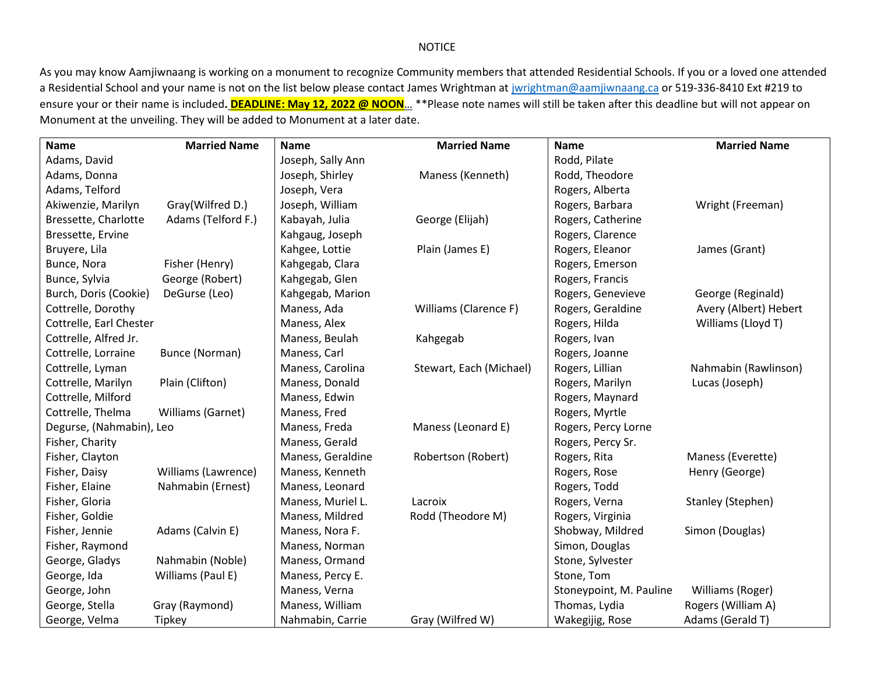## NOTICE

As you may know Aamjiwnaang is working on a monument to recognize Community members that attended Residential Schools. If you or a loved one attended a Residential School and your name is not on the list below please contact James Wrightman at [jwrightman@aamjiwnaang.ca](mailto:jwrightman@aamjiwnaang.ca) or 519-336-8410 Ext #219 to ensure your or their name is included**. DEADLINE: May 12, 2022 @ NOON**… \*\*Please note names will still be taken after this deadline but will not appear on Monument at the unveiling. They will be added to Monument at a later date.

| <b>Name</b>              | <b>Married Name</b> | <b>Name</b>       | <b>Married Name</b>     | <b>Name</b>             | <b>Married Name</b>   |
|--------------------------|---------------------|-------------------|-------------------------|-------------------------|-----------------------|
| Adams, David             |                     | Joseph, Sally Ann |                         | Rodd, Pilate            |                       |
| Adams, Donna             |                     | Joseph, Shirley   | Maness (Kenneth)        | Rodd, Theodore          |                       |
| Adams, Telford           |                     | Joseph, Vera      |                         | Rogers, Alberta         |                       |
| Akiwenzie, Marilyn       | Gray(Wilfred D.)    | Joseph, William   |                         | Rogers, Barbara         | Wright (Freeman)      |
| Bressette, Charlotte     | Adams (Telford F.)  | Kabayah, Julia    | George (Elijah)         | Rogers, Catherine       |                       |
| Bressette, Ervine        |                     | Kahgaug, Joseph   |                         | Rogers, Clarence        |                       |
| Bruyere, Lila            |                     | Kahgee, Lottie    | Plain (James E)         | Rogers, Eleanor         | James (Grant)         |
| Bunce, Nora              | Fisher (Henry)      | Kahgegab, Clara   |                         | Rogers, Emerson         |                       |
| Bunce, Sylvia            | George (Robert)     | Kahgegab, Glen    |                         | Rogers, Francis         |                       |
| Burch, Doris (Cookie)    | DeGurse (Leo)       | Kahgegab, Marion  |                         | Rogers, Genevieve       | George (Reginald)     |
| Cottrelle, Dorothy       |                     | Maness, Ada       | Williams (Clarence F)   | Rogers, Geraldine       | Avery (Albert) Hebert |
| Cottrelle, Earl Chester  |                     | Maness, Alex      |                         | Rogers, Hilda           | Williams (Lloyd T)    |
| Cottrelle, Alfred Jr.    |                     | Maness, Beulah    | Kahgegab                | Rogers, Ivan            |                       |
| Cottrelle, Lorraine      | Bunce (Norman)      | Maness, Carl      |                         | Rogers, Joanne          |                       |
| Cottrelle, Lyman         |                     | Maness, Carolina  | Stewart, Each (Michael) | Rogers, Lillian         | Nahmabin (Rawlinson)  |
| Cottrelle, Marilyn       | Plain (Clifton)     | Maness, Donald    |                         | Rogers, Marilyn         | Lucas (Joseph)        |
| Cottrelle, Milford       |                     | Maness, Edwin     |                         | Rogers, Maynard         |                       |
| Cottrelle, Thelma        | Williams (Garnet)   | Maness, Fred      |                         | Rogers, Myrtle          |                       |
| Degurse, (Nahmabin), Leo |                     | Maness, Freda     | Maness (Leonard E)      | Rogers, Percy Lorne     |                       |
| Fisher, Charity          |                     | Maness, Gerald    |                         | Rogers, Percy Sr.       |                       |
| Fisher, Clayton          |                     | Maness, Geraldine | Robertson (Robert)      | Rogers, Rita            | Maness (Everette)     |
| Fisher, Daisy            | Williams (Lawrence) | Maness, Kenneth   |                         | Rogers, Rose            | Henry (George)        |
| Fisher, Elaine           | Nahmabin (Ernest)   | Maness, Leonard   |                         | Rogers, Todd            |                       |
| Fisher, Gloria           |                     | Maness, Muriel L. | Lacroix                 | Rogers, Verna           | Stanley (Stephen)     |
| Fisher, Goldie           |                     | Maness, Mildred   | Rodd (Theodore M)       | Rogers, Virginia        |                       |
| Fisher, Jennie           | Adams (Calvin E)    | Maness, Nora F.   |                         | Shobway, Mildred        | Simon (Douglas)       |
| Fisher, Raymond          |                     | Maness, Norman    |                         | Simon, Douglas          |                       |
| George, Gladys           | Nahmabin (Noble)    | Maness, Ormand    |                         | Stone, Sylvester        |                       |
| George, Ida              | Williams (Paul E)   | Maness, Percy E.  |                         | Stone, Tom              |                       |
| George, John             |                     | Maness, Verna     |                         | Stoneypoint, M. Pauline | Williams (Roger)      |
| George, Stella           | Gray (Raymond)      | Maness, William   |                         | Thomas, Lydia           | Rogers (William A)    |
| George, Velma            | Tipkey              | Nahmabin, Carrie  | Gray (Wilfred W)        | Wakegijig, Rose         | Adams (Gerald T)      |